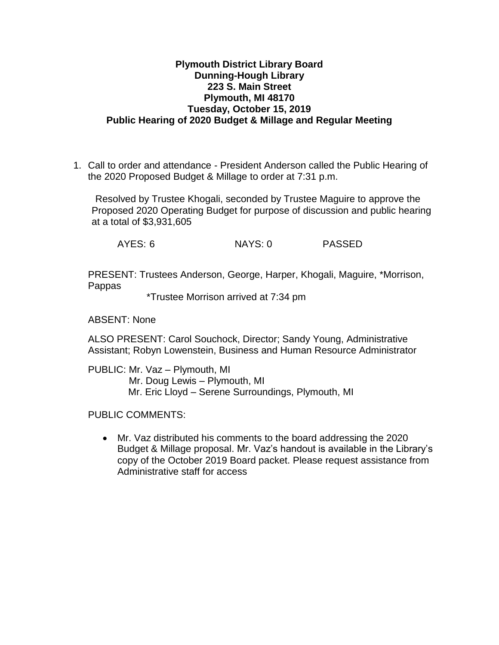## **Plymouth District Library Board Dunning-Hough Library 223 S. Main Street Plymouth, MI 48170 Tuesday, October 15, 2019 Public Hearing of 2020 Budget & Millage and Regular Meeting**

1. Call to order and attendance - President Anderson called the Public Hearing of the 2020 Proposed Budget & Millage to order at 7:31 p.m.

Resolved by Trustee Khogali, seconded by Trustee Maguire to approve the Proposed 2020 Operating Budget for purpose of discussion and public hearing at a total of \$3,931,605

AYES: 6 NAYS: 0 PASSED

PRESENT: Trustees Anderson, George, Harper, Khogali, Maguire, \*Morrison, Pappas

\*Trustee Morrison arrived at 7:34 pm

ABSENT: None

ALSO PRESENT: Carol Souchock, Director; Sandy Young, Administrative Assistant; Robyn Lowenstein, Business and Human Resource Administrator

PUBLIC: Mr. Vaz – Plymouth, MI Mr. Doug Lewis – Plymouth, MI Mr. Eric Lloyd – Serene Surroundings, Plymouth, MI

PUBLIC COMMENTS:

 Mr. Vaz distributed his comments to the board addressing the 2020 Budget & Millage proposal. Mr. Vaz's handout is available in the Library's copy of the October 2019 Board packet. Please request assistance from Administrative staff for access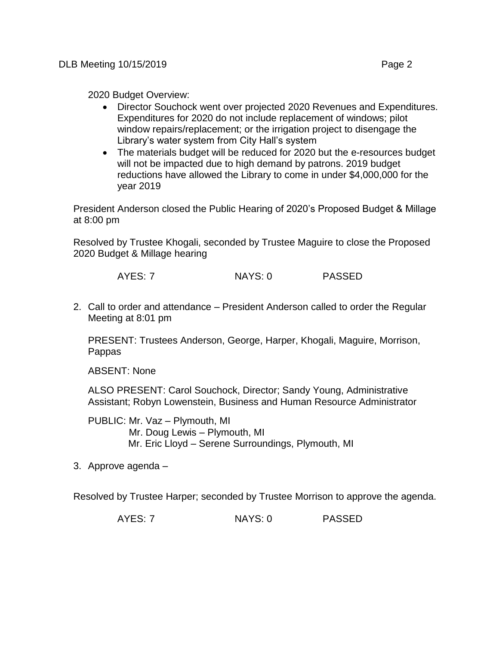2020 Budget Overview:

- Director Souchock went over projected 2020 Revenues and Expenditures. Expenditures for 2020 do not include replacement of windows; pilot window repairs/replacement; or the irrigation project to disengage the Library's water system from City Hall's system
- The materials budget will be reduced for 2020 but the e-resources budget will not be impacted due to high demand by patrons. 2019 budget reductions have allowed the Library to come in under \$4,000,000 for the year 2019

President Anderson closed the Public Hearing of 2020's Proposed Budget & Millage at 8:00 pm

Resolved by Trustee Khogali, seconded by Trustee Maguire to close the Proposed 2020 Budget & Millage hearing

AYES: 7 NAYS: 0 PASSED

2. Call to order and attendance – President Anderson called to order the Regular Meeting at 8:01 pm

PRESENT: Trustees Anderson, George, Harper, Khogali, Maguire, Morrison, Pappas

ABSENT: None

ALSO PRESENT: Carol Souchock, Director; Sandy Young, Administrative Assistant; Robyn Lowenstein, Business and Human Resource Administrator

PUBLIC: Mr. Vaz – Plymouth, MI Mr. Doug Lewis – Plymouth, MI Mr. Eric Lloyd – Serene Surroundings, Plymouth, MI

3. Approve agenda –

Resolved by Trustee Harper; seconded by Trustee Morrison to approve the agenda.

AYES: 7 NAYS: 0 PASSED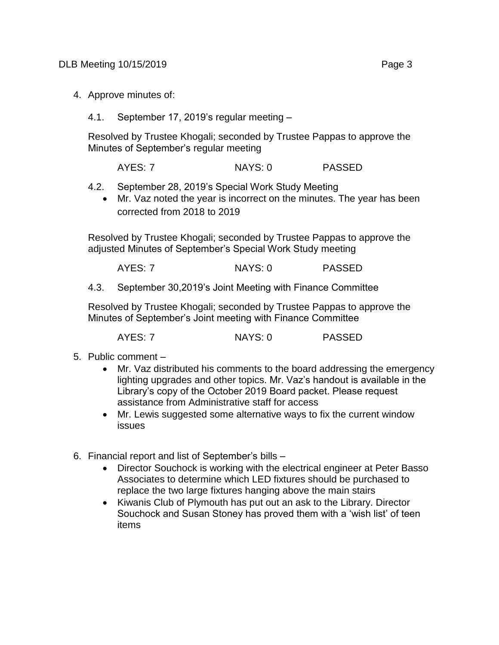- 4. Approve minutes of:
	- 4.1. September 17, 2019's regular meeting –

Resolved by Trustee Khogali; seconded by Trustee Pappas to approve the Minutes of September's regular meeting

AYES: 7 NAYS: 0 PASSED

- 4.2. September 28, 2019's Special Work Study Meeting
	- Mr. Vaz noted the year is incorrect on the minutes. The year has been corrected from 2018 to 2019

Resolved by Trustee Khogali; seconded by Trustee Pappas to approve the adjusted Minutes of September's Special Work Study meeting

AYES: 7 NAYS: 0 PASSED

4.3. September 30,2019's Joint Meeting with Finance Committee

Resolved by Trustee Khogali; seconded by Trustee Pappas to approve the Minutes of September's Joint meeting with Finance Committee

AYES: 7 NAYS: 0 PASSED

- 5. Public comment
	- Mr. Vaz distributed his comments to the board addressing the emergency lighting upgrades and other topics. Mr. Vaz's handout is available in the Library's copy of the October 2019 Board packet. Please request assistance from Administrative staff for access
	- Mr. Lewis suggested some alternative ways to fix the current window issues
- 6. Financial report and list of September's bills
	- Director Souchock is working with the electrical engineer at Peter Basso Associates to determine which LED fixtures should be purchased to replace the two large fixtures hanging above the main stairs
	- Kiwanis Club of Plymouth has put out an ask to the Library. Director Souchock and Susan Stoney has proved them with a 'wish list' of teen items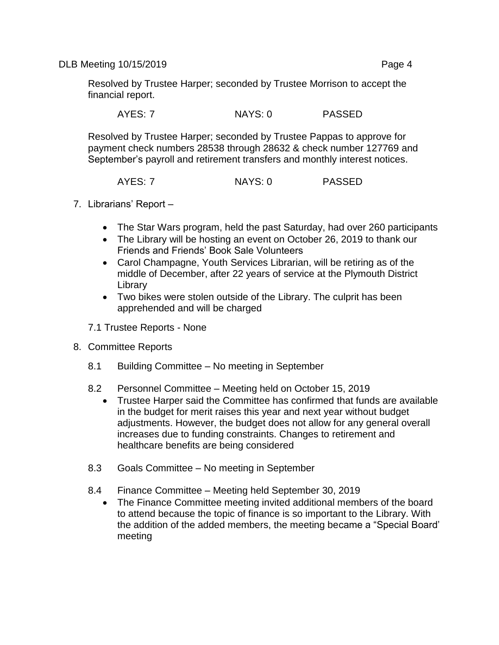DLB Meeting 10/15/2019 **Page 4** 

Resolved by Trustee Harper; seconded by Trustee Morrison to accept the financial report.

AYES: 7 NAYS: 0 PASSED

Resolved by Trustee Harper; seconded by Trustee Pappas to approve for payment check numbers 28538 through 28632 & check number 127769 and September's payroll and retirement transfers and monthly interest notices.

AYES: 7 NAYS: 0 PASSED

- 7. Librarians' Report
	- The Star Wars program, held the past Saturday, had over 260 participants
	- The Library will be hosting an event on October 26, 2019 to thank our Friends and Friends' Book Sale Volunteers
	- Carol Champagne, Youth Services Librarian, will be retiring as of the middle of December, after 22 years of service at the Plymouth District Library
	- Two bikes were stolen outside of the Library. The culprit has been apprehended and will be charged
	- 7.1 Trustee Reports None
- 8. Committee Reports
	- 8.1 Building Committee No meeting in September
	- 8.2 Personnel Committee Meeting held on October 15, 2019
		- Trustee Harper said the Committee has confirmed that funds are available in the budget for merit raises this year and next year without budget adjustments. However, the budget does not allow for any general overall increases due to funding constraints. Changes to retirement and healthcare benefits are being considered
	- 8.3 Goals Committee No meeting in September
	- 8.4 Finance Committee Meeting held September 30, 2019
		- The Finance Committee meeting invited additional members of the board to attend because the topic of finance is so important to the Library. With the addition of the added members, the meeting became a "Special Board' meeting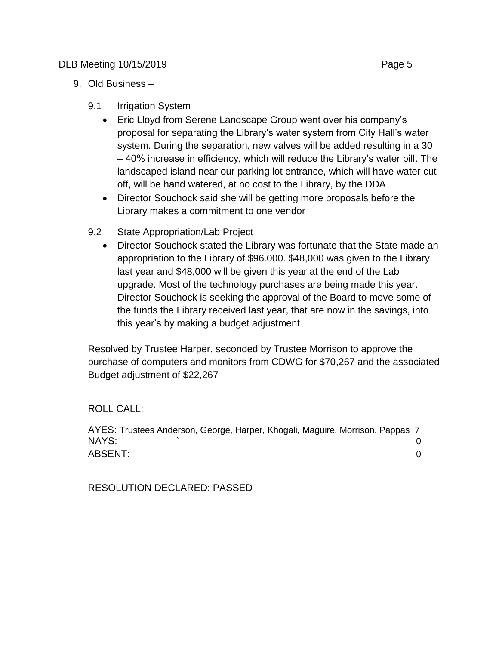## DLB Meeting 10/15/2019 **Page 5**

- 9. Old Business
	- 9.1 Irrigation System
		- Eric Lloyd from Serene Landscape Group went over his company's proposal for separating the Library's water system from City Hall's water system. During the separation, new valves will be added resulting in a 30 – 40% increase in efficiency, which will reduce the Library's water bill. The landscaped island near our parking lot entrance, which will have water cut off, will be hand watered, at no cost to the Library, by the DDA
		- Director Souchock said she will be getting more proposals before the Library makes a commitment to one vendor
	- 9.2 State Appropriation/Lab Project
		- Director Souchock stated the Library was fortunate that the State made an appropriation to the Library of \$96.000. \$48,000 was given to the Library last year and \$48,000 will be given this year at the end of the Lab upgrade. Most of the technology purchases are being made this year. Director Souchock is seeking the approval of the Board to move some of the funds the Library received last year, that are now in the savings, into this year's by making a budget adjustment

Resolved by Trustee Harper, seconded by Trustee Morrison to approve the purchase of computers and monitors from CDWG for \$70,267 and the associated Budget adjustment of \$22,267

ROLL CALL:

AYES: Trustees Anderson, George, Harper, Khogali, Maguire, Morrison, Pappas 7 NAYS:  $\qquad \qquad \qquad 0$ ABSENT: 0

RESOLUTION DECLARED: PASSED